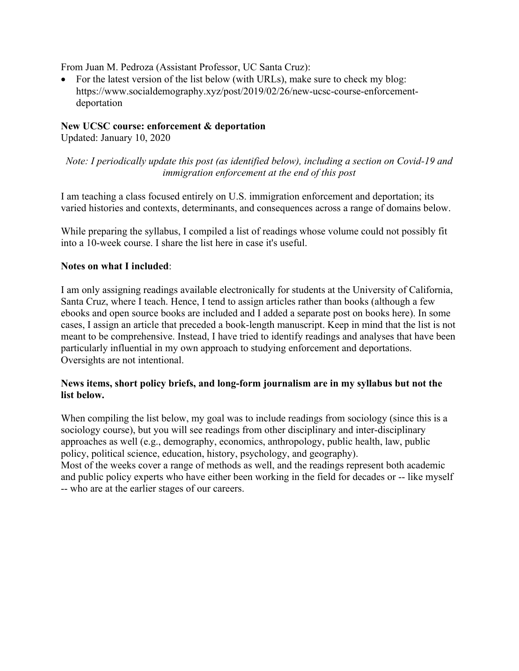From Juan M. Pedroza (Assistant Professor, UC Santa Cruz):

• For the latest version of the list below (with URLs), make sure to check my blog: https://www.socialdemography.xyz/post/2019/02/26/new-ucsc-course-enforcementdeportation

#### **New UCSC course: enforcement & deportation**

Updated: January 10, 2020

*Note: I periodically update this post (as identified below), including a section on Covid-19 and immigration enforcement at the end of this post*

I am teaching a class focused entirely on U.S. immigration enforcement and deportation; its varied histories and contexts, determinants, and consequences across a range of domains below.

While preparing the syllabus, I compiled a list of readings whose volume could not possibly fit into a 10-week course. I share the list here in case it's useful.

## **Notes on what I included**:

I am only assigning readings available electronically for students at the University of California, Santa Cruz, where I teach. Hence, I tend to assign articles rather than books (although a few ebooks and open source books are included and I added a separate post on books here). In some cases, I assign an article that preceded a book-length manuscript. Keep in mind that the list is not meant to be comprehensive. Instead, I have tried to identify readings and analyses that have been particularly influential in my own approach to studying enforcement and deportations. Oversights are not intentional.

## **News items, short policy briefs, and long-form journalism are in my syllabus but not the list below.**

When compiling the list below, my goal was to include readings from sociology (since this is a sociology course), but you will see readings from other disciplinary and inter-disciplinary approaches as well (e.g., demography, economics, anthropology, public health, law, public policy, political science, education, history, psychology, and geography).

Most of the weeks cover a range of methods as well, and the readings represent both academic and public policy experts who have either been working in the field for decades or -- like myself -- who are at the earlier stages of our careers.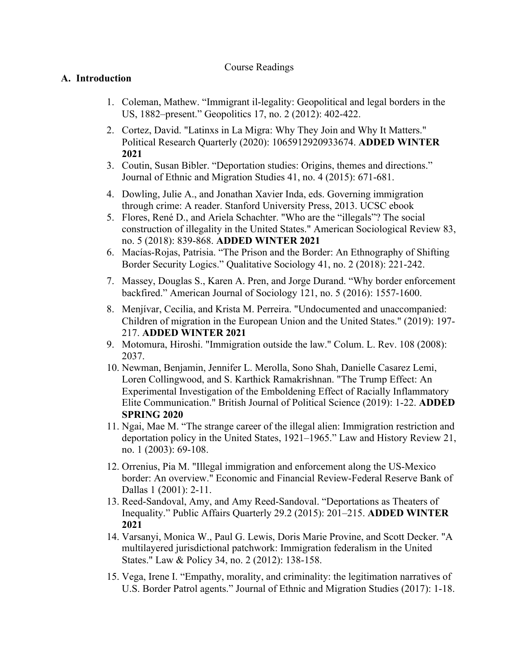#### Course Readings

## **A. Introduction**

- 1. Coleman, Mathew. "Immigrant il-legality: Geopolitical and legal borders in the US, 1882–present." Geopolitics 17, no. 2 (2012): 402-422.
- 2. Cortez, David. "Latinxs in La Migra: Why They Join and Why It Matters." Political Research Quarterly (2020): 1065912920933674. **ADDED WINTER 2021**
- 3. Coutin, Susan Bibler. "Deportation studies: Origins, themes and directions." Journal of Ethnic and Migration Studies 41, no. 4 (2015): 671-681.
- 4. Dowling, Julie A., and Jonathan Xavier Inda, eds. Governing immigration through crime: A reader. Stanford University Press, 2013. UCSC ebook
- 5. Flores, René D., and Ariela Schachter. "Who are the "illegals"? The social construction of illegality in the United States." American Sociological Review 83, no. 5 (2018): 839-868. **ADDED WINTER 2021**
- 6. Macías-Rojas, Patrisia. "The Prison and the Border: An Ethnography of Shifting Border Security Logics." Qualitative Sociology 41, no. 2 (2018): 221-242.
- 7. Massey, Douglas S., Karen A. Pren, and Jorge Durand. "Why border enforcement backfired." American Journal of Sociology 121, no. 5 (2016): 1557-1600.
- 8. Menjívar, Cecilia, and Krista M. Perreira. "Undocumented and unaccompanied: Children of migration in the European Union and the United States." (2019): 197- 217. **ADDED WINTER 2021**
- 9. Motomura, Hiroshi. "Immigration outside the law." Colum. L. Rev. 108 (2008): 2037.
- 10. Newman, Benjamin, Jennifer L. Merolla, Sono Shah, Danielle Casarez Lemi, Loren Collingwood, and S. Karthick Ramakrishnan. "The Trump Effect: An Experimental Investigation of the Emboldening Effect of Racially Inflammatory Elite Communication." British Journal of Political Science (2019): 1-22. **ADDED SPRING 2020**
- 11. Ngai, Mae M. "The strange career of the illegal alien: Immigration restriction and deportation policy in the United States, 1921–1965." Law and History Review 21, no. 1 (2003): 69-108.
- 12. Orrenius, Pia M. "Illegal immigration and enforcement along the US-Mexico border: An overview." Economic and Financial Review-Federal Reserve Bank of Dallas 1 (2001): 2-11.
- 13. Reed-Sandoval, Amy, and Amy Reed-Sandoval. "Deportations as Theaters of Inequality." Public Affairs Quarterly 29.2 (2015): 201–215. **ADDED WINTER 2021**
- 14. Varsanyi, Monica W., Paul G. Lewis, Doris Marie Provine, and Scott Decker. "A multilayered jurisdictional patchwork: Immigration federalism in the United States." Law & Policy 34, no. 2 (2012): 138-158.
- 15. Vega, Irene I. "Empathy, morality, and criminality: the legitimation narratives of U.S. Border Patrol agents." Journal of Ethnic and Migration Studies (2017): 1-18.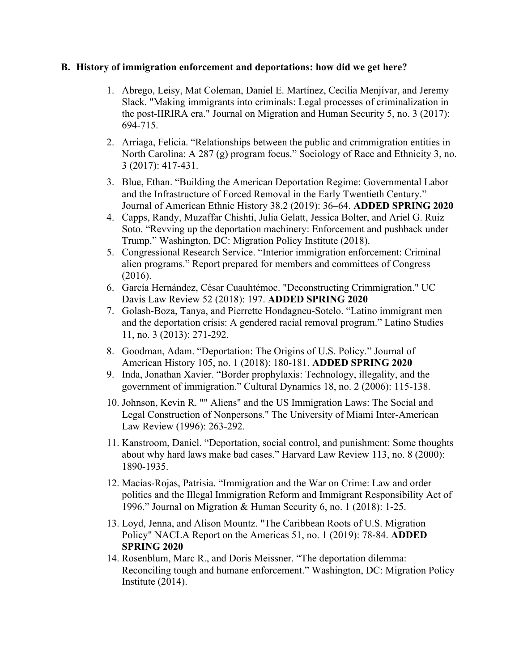#### **B. History of immigration enforcement and deportations: how did we get here?**

- 1. Abrego, Leisy, Mat Coleman, Daniel E. Martínez, Cecilia Menjívar, and Jeremy Slack. "Making immigrants into criminals: Legal processes of criminalization in the post-IIRIRA era." Journal on Migration and Human Security 5, no. 3 (2017): 694-715.
- 2. Arriaga, Felicia. "Relationships between the public and crimmigration entities in North Carolina: A 287 (g) program focus." Sociology of Race and Ethnicity 3, no. 3 (2017): 417-431.
- 3. Blue, Ethan. "Building the American Deportation Regime: Governmental Labor and the Infrastructure of Forced Removal in the Early Twentieth Century." Journal of American Ethnic History 38.2 (2019): 36–64. **ADDED SPRING 2020**
- 4. Capps, Randy, Muzaffar Chishti, Julia Gelatt, Jessica Bolter, and Ariel G. Ruiz Soto. "Revving up the deportation machinery: Enforcement and pushback under Trump." Washington, DC: Migration Policy Institute (2018).
- 5. Congressional Research Service. "Interior immigration enforcement: Criminal alien programs." Report prepared for members and committees of Congress (2016).
- 6. García Hernández, César Cuauhtémoc. "Deconstructing Crimmigration." UC Davis Law Review 52 (2018): 197. **ADDED SPRING 2020**
- 7. Golash-Boza, Tanya, and Pierrette Hondagneu-Sotelo. "Latino immigrant men and the deportation crisis: A gendered racial removal program." Latino Studies 11, no. 3 (2013): 271-292.
- 8. Goodman, Adam. "Deportation: The Origins of U.S. Policy." Journal of American History 105, no. 1 (2018): 180-181. **ADDED SPRING 2020**
- 9. Inda, Jonathan Xavier. "Border prophylaxis: Technology, illegality, and the government of immigration." Cultural Dynamics 18, no. 2 (2006): 115-138.
- 10. Johnson, Kevin R. "" Aliens" and the US Immigration Laws: The Social and Legal Construction of Nonpersons." The University of Miami Inter-American Law Review (1996): 263-292.
- 11. Kanstroom, Daniel. "Deportation, social control, and punishment: Some thoughts about why hard laws make bad cases." Harvard Law Review 113, no. 8 (2000): 1890-1935.
- 12. Macías-Rojas, Patrisia. "Immigration and the War on Crime: Law and order politics and the Illegal Immigration Reform and Immigrant Responsibility Act of 1996." Journal on Migration & Human Security 6, no. 1 (2018): 1-25.
- 13. Loyd, Jenna, and Alison Mountz. "The Caribbean Roots of U.S. Migration Policy" NACLA Report on the Americas 51, no. 1 (2019): 78-84. **ADDED SPRING 2020**
- 14. Rosenblum, Marc R., and Doris Meissner. "The deportation dilemma: Reconciling tough and humane enforcement." Washington, DC: Migration Policy Institute (2014).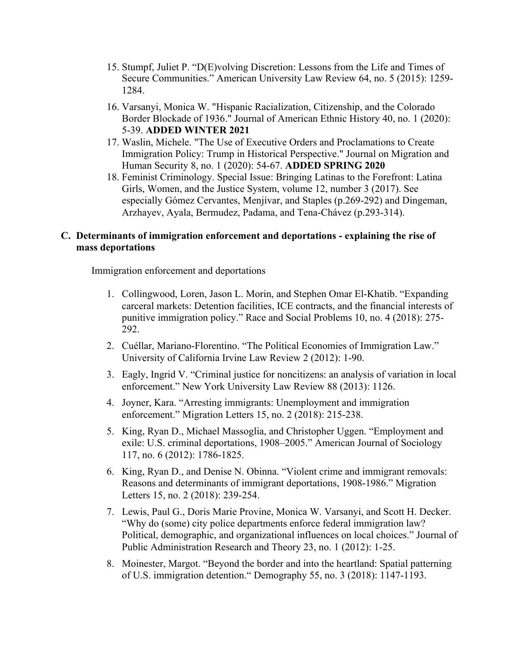- 15. Stumpf, Juliet P. "D(E)volving Discretion: Lessons from the Life and Times of Secure Communities." American University Law Review 64, no. 5 (2015): 1259- 1284.
- 16. Varsanyi, Monica W. "Hispanic Racialization, Citizenship, and the Colorado Border Blockade of 1936." Journal of American Ethnic History 40, no. 1 (2020): 5-39. **ADDED WINTER 2021**
- 17. Waslin, Michele. "The Use of Executive Orders and Proclamations to Create Immigration Policy: Trump in Historical Perspective." Journal on Migration and Human Security 8, no. 1 (2020): 54-67. **ADDED SPRING 2020**
- 18. Feminist Criminology. Special Issue: Bringing Latinas to the Forefront: Latina Girls, Women, and the Justice System, volume 12, number 3 (2017). See especially Gómez Cervantes, Menjívar, and Staples (p.269-292) and Dingeman, Arzhayev, Ayala, Bermudez, Padama, and Tena-Chávez (p.293-314).

## **C. Determinants of immigration enforcement and deportations - explaining the rise of mass deportations**

Immigration enforcement and deportations

- 1. Collingwood, Loren, Jason L. Morin, and Stephen Omar El-Khatib. "Expanding carceral markets: Detention facilities, ICE contracts, and the financial interests of punitive immigration policy." Race and Social Problems 10, no. 4 (2018): 275- 292.
- 2. Cuéllar, Mariano-Florentino. "The Political Economies of Immigration Law." University of California Irvine Law Review 2 (2012): 1-90.
- 3. Eagly, Ingrid V. "Criminal justice for noncitizens: an analysis of variation in local enforcement." New York University Law Review 88 (2013): 1126.
- 4. Joyner, Kara. "Arresting immigrants: Unemployment and immigration enforcement." Migration Letters 15, no. 2 (2018): 215-238.
- 5. King, Ryan D., Michael Massoglia, and Christopher Uggen. "Employment and exile: U.S. criminal deportations, 1908–2005." American Journal of Sociology 117, no. 6 (2012): 1786-1825.
- 6. King, Ryan D., and Denise N. Obinna. "Violent crime and immigrant removals: Reasons and determinants of immigrant deportations, 1908-1986." Migration Letters 15, no. 2 (2018): 239-254.
- 7. Lewis, Paul G., Doris Marie Provine, Monica W. Varsanyi, and Scott H. Decker. "Why do (some) city police departments enforce federal immigration law? Political, demographic, and organizational influences on local choices." Journal of Public Administration Research and Theory 23, no. 1 (2012): 1-25.
- 8. Moinester, Margot. "Beyond the border and into the heartland: Spatial patterning of U.S. immigration detention." Demography 55, no. 3 (2018): 1147-1193.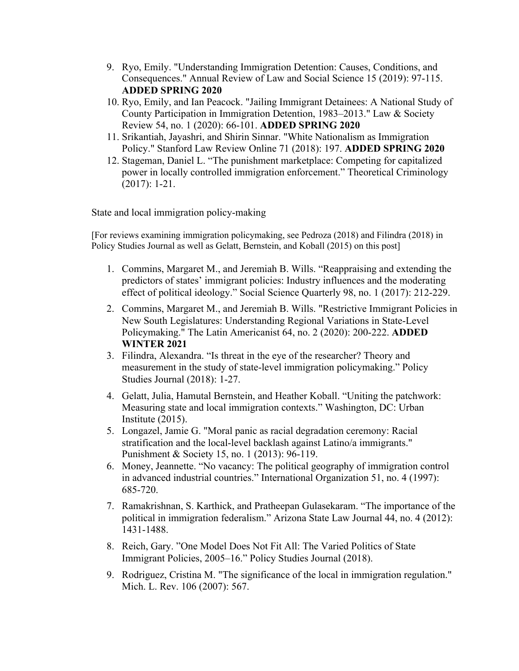- 9. Ryo, Emily. "Understanding Immigration Detention: Causes, Conditions, and Consequences." Annual Review of Law and Social Science 15 (2019): 97-115. **ADDED SPRING 2020**
- 10. Ryo, Emily, and Ian Peacock. "Jailing Immigrant Detainees: A National Study of County Participation in Immigration Detention, 1983–2013." Law & Society Review 54, no. 1 (2020): 66-101. **ADDED SPRING 2020**
- 11. Srikantiah, Jayashri, and Shirin Sinnar. "White Nationalism as Immigration Policy." Stanford Law Review Online 71 (2018): 197. **ADDED SPRING 2020**
- 12. Stageman, Daniel L. "The punishment marketplace: Competing for capitalized power in locally controlled immigration enforcement." Theoretical Criminology (2017): 1-21.

State and local immigration policy-making

[For reviews examining immigration policymaking, see Pedroza (2018) and Filindra (2018) in Policy Studies Journal as well as Gelatt, Bernstein, and Koball (2015) on this post]

- 1. Commins, Margaret M., and Jeremiah B. Wills. "Reappraising and extending the predictors of states' immigrant policies: Industry influences and the moderating effect of political ideology." Social Science Quarterly 98, no. 1 (2017): 212-229.
- 2. Commins, Margaret M., and Jeremiah B. Wills. "Restrictive Immigrant Policies in New South Legislatures: Understanding Regional Variations in State-Level Policymaking." The Latin Americanist 64, no. 2 (2020): 200-222. **ADDED WINTER 2021**
- 3. Filindra, Alexandra. "Is threat in the eye of the researcher? Theory and measurement in the study of state-level immigration policymaking." Policy Studies Journal (2018): 1-27.
- 4. Gelatt, Julia, Hamutal Bernstein, and Heather Koball. "Uniting the patchwork: Measuring state and local immigration contexts." Washington, DC: Urban Institute (2015).
- 5. Longazel, Jamie G. "Moral panic as racial degradation ceremony: Racial stratification and the local-level backlash against Latino/a immigrants." Punishment & Society 15, no. 1 (2013): 96-119.
- 6. Money, Jeannette. "No vacancy: The political geography of immigration control in advanced industrial countries." International Organization 51, no. 4 (1997): 685-720.
- 7. Ramakrishnan, S. Karthick, and Pratheepan Gulasekaram. "The importance of the political in immigration federalism." Arizona State Law Journal 44, no. 4 (2012): 1431-1488.
- 8. Reich, Gary. "One Model Does Not Fit All: The Varied Politics of State Immigrant Policies, 2005–16." Policy Studies Journal (2018).
- 9. Rodriguez, Cristina M. "The significance of the local in immigration regulation." Mich. L. Rev. 106 (2007): 567.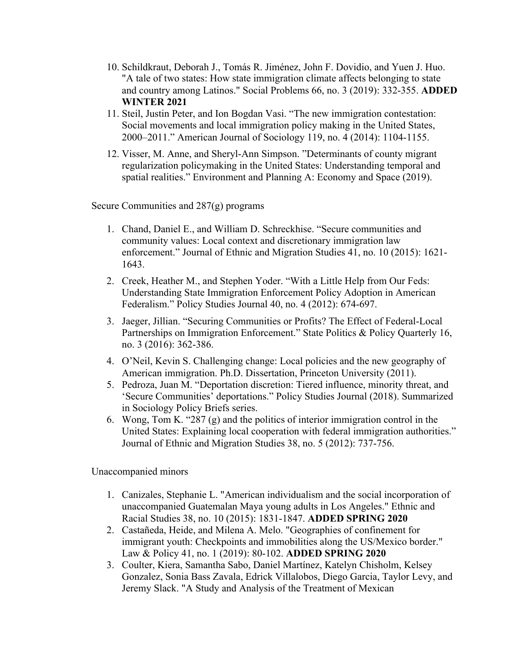- 10. Schildkraut, Deborah J., Tomás R. Jiménez, John F. Dovidio, and Yuen J. Huo. "A tale of two states: How state immigration climate affects belonging to state and country among Latinos." Social Problems 66, no. 3 (2019): 332-355. **ADDED WINTER 2021**
- 11. Steil, Justin Peter, and Ion Bogdan Vasi. "The new immigration contestation: Social movements and local immigration policy making in the United States, 2000–2011." American Journal of Sociology 119, no. 4 (2014): 1104-1155.
- 12. Visser, M. Anne, and Sheryl-Ann Simpson. "Determinants of county migrant regularization policymaking in the United States: Understanding temporal and spatial realities." Environment and Planning A: Economy and Space (2019).

Secure Communities and 287(g) programs

- 1. Chand, Daniel E., and William D. Schreckhise. "Secure communities and community values: Local context and discretionary immigration law enforcement." Journal of Ethnic and Migration Studies 41, no. 10 (2015): 1621- 1643.
- 2. Creek, Heather M., and Stephen Yoder. "With a Little Help from Our Feds: Understanding State Immigration Enforcement Policy Adoption in American Federalism." Policy Studies Journal 40, no. 4 (2012): 674-697.
- 3. Jaeger, Jillian. "Securing Communities or Profits? The Effect of Federal-Local Partnerships on Immigration Enforcement." State Politics & Policy Quarterly 16, no. 3 (2016): 362-386.
- 4. O'Neil, Kevin S. Challenging change: Local policies and the new geography of American immigration. Ph.D. Dissertation, Princeton University (2011).
- 5. Pedroza, Juan M. "Deportation discretion: Tiered influence, minority threat, and 'Secure Communities' deportations." Policy Studies Journal (2018). Summarized in Sociology Policy Briefs series.
- 6. Wong, Tom K. "287 (g) and the politics of interior immigration control in the United States: Explaining local cooperation with federal immigration authorities." Journal of Ethnic and Migration Studies 38, no. 5 (2012): 737-756.

Unaccompanied minors

- 1. Canizales, Stephanie L. "American individualism and the social incorporation of unaccompanied Guatemalan Maya young adults in Los Angeles." Ethnic and Racial Studies 38, no. 10 (2015): 1831-1847. **ADDED SPRING 2020**
- 2. Castañeda, Heide, and Milena A. Melo. "Geographies of confinement for immigrant youth: Checkpoints and immobilities along the US/Mexico border." Law & Policy 41, no. 1 (2019): 80-102. **ADDED SPRING 2020**
- 3. Coulter, Kiera, Samantha Sabo, Daniel Martínez, Katelyn Chisholm, Kelsey Gonzalez, Sonia Bass Zavala, Edrick Villalobos, Diego Garcia, Taylor Levy, and Jeremy Slack. "A Study and Analysis of the Treatment of Mexican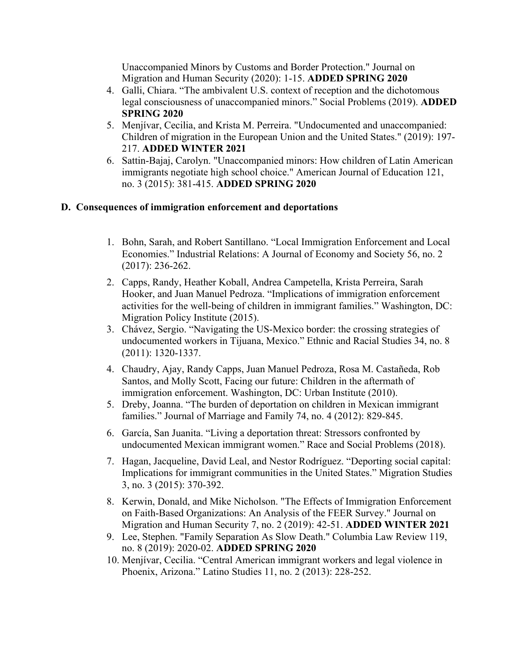Unaccompanied Minors by Customs and Border Protection." Journal on Migration and Human Security (2020): 1-15. **ADDED SPRING 2020**

- 4. Galli, Chiara. "The ambivalent U.S. context of reception and the dichotomous legal consciousness of unaccompanied minors." Social Problems (2019). **ADDED SPRING 2020**
- 5. Menjívar, Cecilia, and Krista M. Perreira. "Undocumented and unaccompanied: Children of migration in the European Union and the United States." (2019): 197- 217. **ADDED WINTER 2021**
- 6. Sattin-Bajaj, Carolyn. "Unaccompanied minors: How children of Latin American immigrants negotiate high school choice." American Journal of Education 121, no. 3 (2015): 381-415. **ADDED SPRING 2020**

# **D. Consequences of immigration enforcement and deportations**

- 1. Bohn, Sarah, and Robert Santillano. "Local Immigration Enforcement and Local Economies." Industrial Relations: A Journal of Economy and Society 56, no. 2 (2017): 236-262.
- 2. Capps, Randy, Heather Koball, Andrea Campetella, Krista Perreira, Sarah Hooker, and Juan Manuel Pedroza. "Implications of immigration enforcement activities for the well-being of children in immigrant families." Washington, DC: Migration Policy Institute (2015).
- 3. Chávez, Sergio. "Navigating the US-Mexico border: the crossing strategies of undocumented workers in Tijuana, Mexico." Ethnic and Racial Studies 34, no. 8 (2011): 1320-1337.
- 4. Chaudry, Ajay, Randy Capps, Juan Manuel Pedroza, Rosa M. Castañeda, Rob Santos, and Molly Scott, Facing our future: Children in the aftermath of immigration enforcement. Washington, DC: Urban Institute (2010).
- 5. Dreby, Joanna. "The burden of deportation on children in Mexican immigrant families." Journal of Marriage and Family 74, no. 4 (2012): 829-845.
- 6. García, San Juanita. "Living a deportation threat: Stressors confronted by undocumented Mexican immigrant women." Race and Social Problems (2018).
- 7. Hagan, Jacqueline, David Leal, and Nestor Rodríguez. "Deporting social capital: Implications for immigrant communities in the United States." Migration Studies 3, no. 3 (2015): 370-392.
- 8. Kerwin, Donald, and Mike Nicholson. "The Effects of Immigration Enforcement on Faith-Based Organizations: An Analysis of the FEER Survey." Journal on Migration and Human Security 7, no. 2 (2019): 42-51. **ADDED WINTER 2021**
- 9. Lee, Stephen. "Family Separation As Slow Death." Columbia Law Review 119, no. 8 (2019): 2020-02. **ADDED SPRING 2020**
- 10. Menjívar, Cecilia. "Central American immigrant workers and legal violence in Phoenix, Arizona." Latino Studies 11, no. 2 (2013): 228-252.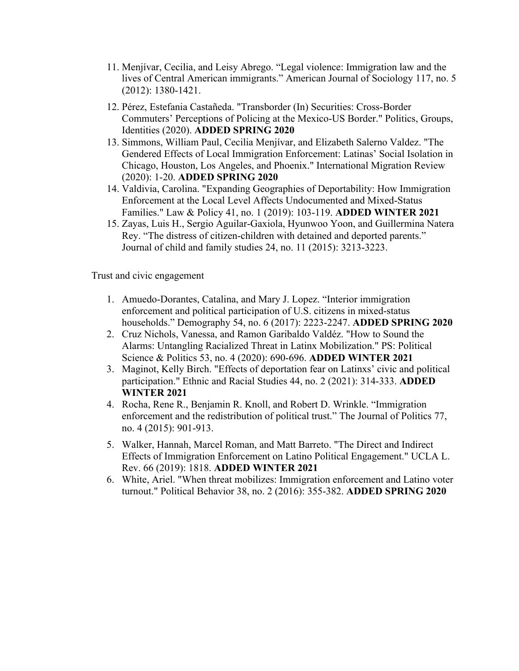- 11. Menjívar, Cecilia, and Leisy Abrego. "Legal violence: Immigration law and the lives of Central American immigrants." American Journal of Sociology 117, no. 5 (2012): 1380-1421.
- 12. Pérez, Estefania Castañeda. "Transborder (In) Securities: Cross-Border Commuters' Perceptions of Policing at the Mexico-US Border." Politics, Groups, Identities (2020). **ADDED SPRING 2020**
- 13. Simmons, William Paul, Cecilia Menjívar, and Elizabeth Salerno Valdez. "The Gendered Effects of Local Immigration Enforcement: Latinas' Social Isolation in Chicago, Houston, Los Angeles, and Phoenix." International Migration Review (2020): 1-20. **ADDED SPRING 2020**
- 14. Valdivia, Carolina. "Expanding Geographies of Deportability: How Immigration Enforcement at the Local Level Affects Undocumented and Mixed‐Status Families." Law & Policy 41, no. 1 (2019): 103-119. **ADDED WINTER 2021**
- 15. Zayas, Luis H., Sergio Aguilar-Gaxiola, Hyunwoo Yoon, and Guillermina Natera Rey. "The distress of citizen-children with detained and deported parents." Journal of child and family studies 24, no. 11 (2015): 3213-3223.

Trust and civic engagement

- 1. Amuedo-Dorantes, Catalina, and Mary J. Lopez. "Interior immigration enforcement and political participation of U.S. citizens in mixed-status households." Demography 54, no. 6 (2017): 2223-2247. **ADDED SPRING 2020**
- 2. Cruz Nichols, Vanessa, and Ramon Garibaldo Valdéz. "How to Sound the Alarms: Untangling Racialized Threat in Latinx Mobilization." PS: Political Science & Politics 53, no. 4 (2020): 690-696. **ADDED WINTER 2021**
- 3. Maginot, Kelly Birch. "Effects of deportation fear on Latinxs' civic and political participation." Ethnic and Racial Studies 44, no. 2 (2021): 314-333. **ADDED WINTER 2021**
- 4. Rocha, Rene R., Benjamin R. Knoll, and Robert D. Wrinkle. "Immigration enforcement and the redistribution of political trust." The Journal of Politics 77, no. 4 (2015): 901-913.
- 5. Walker, Hannah, Marcel Roman, and Matt Barreto. "The Direct and Indirect Effects of Immigration Enforcement on Latino Political Engagement." UCLA L. Rev. 66 (2019): 1818. **ADDED WINTER 2021**
- 6. White, Ariel. "When threat mobilizes: Immigration enforcement and Latino voter turnout." Political Behavior 38, no. 2 (2016): 355-382. **ADDED SPRING 2020**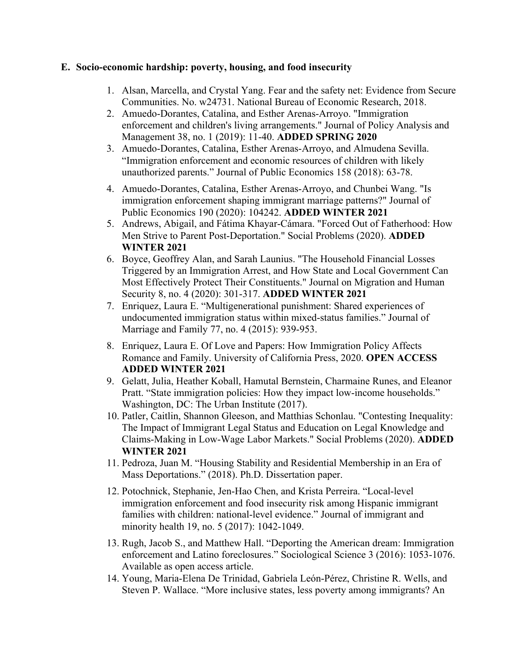#### **E. Socio-economic hardship: poverty, housing, and food insecurity**

- 1. Alsan, Marcella, and Crystal Yang. Fear and the safety net: Evidence from Secure Communities. No. w24731. National Bureau of Economic Research, 2018.
- 2. Amuedo‐Dorantes, Catalina, and Esther Arenas‐Arroyo. "Immigration enforcement and children's living arrangements." Journal of Policy Analysis and Management 38, no. 1 (2019): 11-40. **ADDED SPRING 2020**
- 3. Amuedo-Dorantes, Catalina, Esther Arenas-Arroyo, and Almudena Sevilla. "Immigration enforcement and economic resources of children with likely unauthorized parents." Journal of Public Economics 158 (2018): 63-78.
- 4. Amuedo-Dorantes, Catalina, Esther Arenas-Arroyo, and Chunbei Wang. "Is immigration enforcement shaping immigrant marriage patterns?" Journal of Public Economics 190 (2020): 104242. **ADDED WINTER 2021**
- 5. Andrews, Abigail, and Fátima Khayar-Cámara. "Forced Out of Fatherhood: How Men Strive to Parent Post-Deportation." Social Problems (2020). **ADDED WINTER 2021**
- 6. Boyce, Geoffrey Alan, and Sarah Launius. "The Household Financial Losses Triggered by an Immigration Arrest, and How State and Local Government Can Most Effectively Protect Their Constituents." Journal on Migration and Human Security 8, no. 4 (2020): 301-317. **ADDED WINTER 2021**
- 7. Enriquez, Laura E. "Multigenerational punishment: Shared experiences of undocumented immigration status within mixed‐status families." Journal of Marriage and Family 77, no. 4 (2015): 939-953.
- 8. Enriquez, Laura E. Of Love and Papers: How Immigration Policy Affects Romance and Family. University of California Press, 2020. **OPEN ACCESS ADDED WINTER 2021**
- 9. Gelatt, Julia, Heather Koball, Hamutal Bernstein, Charmaine Runes, and Eleanor Pratt. "State immigration policies: How they impact low-income households." Washington, DC: The Urban Institute (2017).
- 10. Patler, Caitlin, Shannon Gleeson, and Matthias Schonlau. "Contesting Inequality: The Impact of Immigrant Legal Status and Education on Legal Knowledge and Claims-Making in Low-Wage Labor Markets." Social Problems (2020). **ADDED WINTER 2021**
- 11. Pedroza, Juan M. "Housing Stability and Residential Membership in an Era of Mass Deportations." (2018). Ph.D. Dissertation paper.
- 12. Potochnick, Stephanie, Jen-Hao Chen, and Krista Perreira. "Local-level immigration enforcement and food insecurity risk among Hispanic immigrant families with children: national-level evidence." Journal of immigrant and minority health 19, no. 5 (2017): 1042-1049.
- 13. Rugh, Jacob S., and Matthew Hall. "Deporting the American dream: Immigration enforcement and Latino foreclosures." Sociological Science 3 (2016): 1053-1076. Available as open access article.
- 14. Young, Maria-Elena De Trinidad, Gabriela León-Pérez, Christine R. Wells, and Steven P. Wallace. "More inclusive states, less poverty among immigrants? An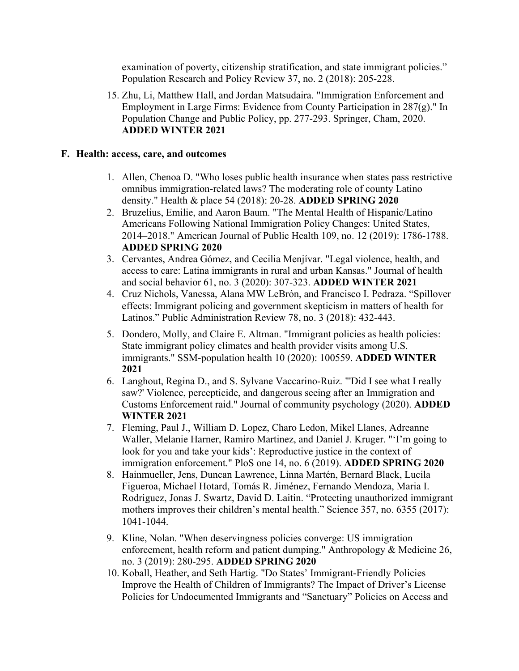examination of poverty, citizenship stratification, and state immigrant policies." Population Research and Policy Review 37, no. 2 (2018): 205-228.

15. Zhu, Li, Matthew Hall, and Jordan Matsudaira. "Immigration Enforcement and Employment in Large Firms: Evidence from County Participation in 287(g)." In Population Change and Public Policy, pp. 277-293. Springer, Cham, 2020. **ADDED WINTER 2021**

#### **F. Health: access, care, and outcomes**

- 1. Allen, Chenoa D. "Who loses public health insurance when states pass restrictive omnibus immigration-related laws? The moderating role of county Latino density." Health & place 54 (2018): 20-28. **ADDED SPRING 2020**
- 2. Bruzelius, Emilie, and Aaron Baum. "The Mental Health of Hispanic/Latino Americans Following National Immigration Policy Changes: United States, 2014–2018." American Journal of Public Health 109, no. 12 (2019): 1786-1788. **ADDED SPRING 2020**
- 3. Cervantes, Andrea Gómez, and Cecilia Menjívar. "Legal violence, health, and access to care: Latina immigrants in rural and urban Kansas." Journal of health and social behavior 61, no. 3 (2020): 307-323. **ADDED WINTER 2021**
- 4. Cruz Nichols, Vanessa, Alana MW LeBrón, and Francisco I. Pedraza. "Spillover effects: Immigrant policing and government skepticism in matters of health for Latinos." Public Administration Review 78, no. 3 (2018): 432-443.
- 5. Dondero, Molly, and Claire E. Altman. "Immigrant policies as health policies: State immigrant policy climates and health provider visits among U.S. immigrants." SSM-population health 10 (2020): 100559. **ADDED WINTER 2021**
- 6. Langhout, Regina D., and S. Sylvane Vaccarino‐Ruiz. "'Did I see what I really saw?' Violence, percepticide, and dangerous seeing after an Immigration and Customs Enforcement raid." Journal of community psychology (2020). **ADDED WINTER 2021**
- 7. Fleming, Paul J., William D. Lopez, Charo Ledon, Mikel Llanes, Adreanne Waller, Melanie Harner, Ramiro Martinez, and Daniel J. Kruger. "'I'm going to look for you and take your kids': Reproductive justice in the context of immigration enforcement." PloS one 14, no. 6 (2019). **ADDED SPRING 2020**
- 8. Hainmueller, Jens, Duncan Lawrence, Linna Martén, Bernard Black, Lucila Figueroa, Michael Hotard, Tomás R. Jiménez, Fernando Mendoza, Maria I. Rodriguez, Jonas J. Swartz, David D. Laitin. "Protecting unauthorized immigrant mothers improves their children's mental health." Science 357, no. 6355 (2017): 1041-1044.
- 9. Kline, Nolan. "When deservingness policies converge: US immigration enforcement, health reform and patient dumping." Anthropology & Medicine 26, no. 3 (2019): 280-295. **ADDED SPRING 2020**
- 10. Koball, Heather, and Seth Hartig. "Do States' Immigrant-Friendly Policies Improve the Health of Children of Immigrants? The Impact of Driver's License Policies for Undocumented Immigrants and "Sanctuary" Policies on Access and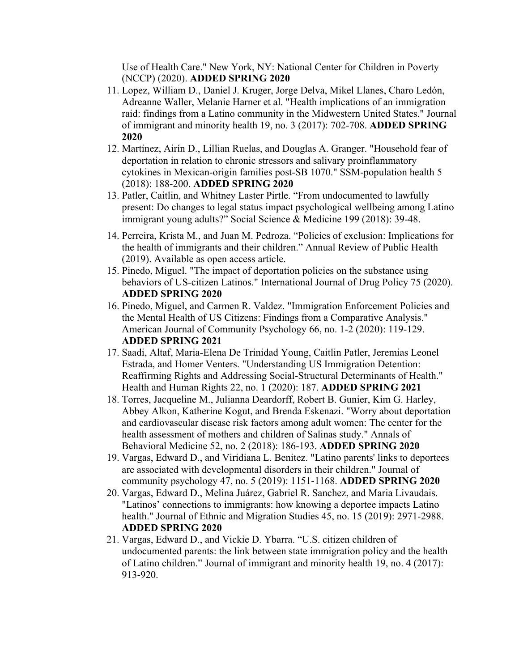Use of Health Care." New York, NY: National Center for Children in Poverty (NCCP) (2020). **ADDED SPRING 2020**

- 11. Lopez, William D., Daniel J. Kruger, Jorge Delva, Mikel Llanes, Charo Ledón, Adreanne Waller, Melanie Harner et al. "Health implications of an immigration raid: findings from a Latino community in the Midwestern United States." Journal of immigrant and minority health 19, no. 3 (2017): 702-708. **ADDED SPRING 2020**
- 12. Martínez, Airín D., Lillian Ruelas, and Douglas A. Granger. "Household fear of deportation in relation to chronic stressors and salivary proinflammatory cytokines in Mexican-origin families post-SB 1070." SSM-population health 5 (2018): 188-200. **ADDED SPRING 2020**
- 13. Patler, Caitlin, and Whitney Laster Pirtle. "From undocumented to lawfully present: Do changes to legal status impact psychological wellbeing among Latino immigrant young adults?" Social Science & Medicine 199 (2018): 39-48.
- 14. Perreira, Krista M., and Juan M. Pedroza. "Policies of exclusion: Implications for the health of immigrants and their children." Annual Review of Public Health (2019). Available as open access article.
- 15. Pinedo, Miguel. "The impact of deportation policies on the substance using behaviors of US-citizen Latinos." International Journal of Drug Policy 75 (2020). **ADDED SPRING 2020**
- 16. Pinedo, Miguel, and Carmen R. Valdez. "Immigration Enforcement Policies and the Mental Health of US Citizens: Findings from a Comparative Analysis." American Journal of Community Psychology 66, no. 1-2 (2020): 119-129. **ADDED SPRING 2021**
- 17. Saadi, Altaf, Maria-Elena De Trinidad Young, Caitlin Patler, Jeremias Leonel Estrada, and Homer Venters. "Understanding US Immigration Detention: Reaffirming Rights and Addressing Social-Structural Determinants of Health." Health and Human Rights 22, no. 1 (2020): 187. **ADDED SPRING 2021**
- 18. Torres, Jacqueline M., Julianna Deardorff, Robert B. Gunier, Kim G. Harley, Abbey Alkon, Katherine Kogut, and Brenda Eskenazi. "Worry about deportation and cardiovascular disease risk factors among adult women: The center for the health assessment of mothers and children of Salinas study." Annals of Behavioral Medicine 52, no. 2 (2018): 186-193. **ADDED SPRING 2020**
- 19. Vargas, Edward D., and Viridiana L. Benitez. "Latino parents' links to deportees are associated with developmental disorders in their children." Journal of community psychology 47, no. 5 (2019): 1151-1168. **ADDED SPRING 2020**
- 20. Vargas, Edward D., Melina Juárez, Gabriel R. Sanchez, and Maria Livaudais. "Latinos' connections to immigrants: how knowing a deportee impacts Latino health." Journal of Ethnic and Migration Studies 45, no. 15 (2019): 2971-2988. **ADDED SPRING 2020**
- 21. Vargas, Edward D., and Vickie D. Ybarra. "U.S. citizen children of undocumented parents: the link between state immigration policy and the health of Latino children." Journal of immigrant and minority health 19, no. 4 (2017): 913-920.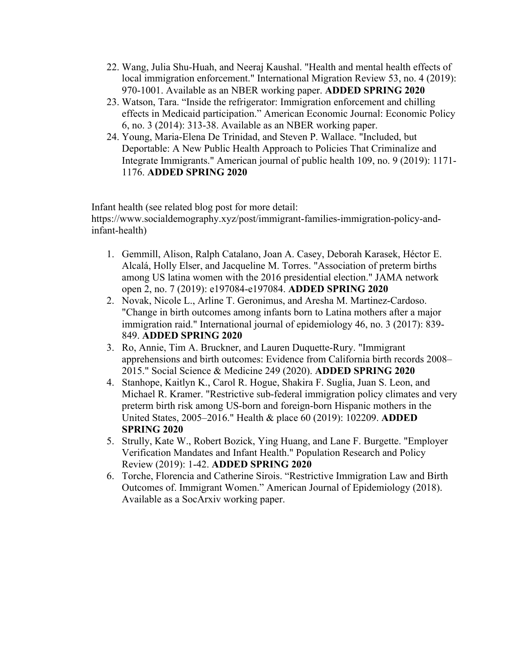- 22. Wang, Julia Shu-Huah, and Neeraj Kaushal. "Health and mental health effects of local immigration enforcement." International Migration Review 53, no. 4 (2019): 970-1001. Available as an NBER working paper. **ADDED SPRING 2020**
- 23. Watson, Tara. "Inside the refrigerator: Immigration enforcement and chilling effects in Medicaid participation." American Economic Journal: Economic Policy 6, no. 3 (2014): 313-38. Available as an NBER working paper.
- 24. Young, Maria-Elena De Trinidad, and Steven P. Wallace. "Included, but Deportable: A New Public Health Approach to Policies That Criminalize and Integrate Immigrants." American journal of public health 109, no. 9 (2019): 1171- 1176. **ADDED SPRING 2020**

Infant health (see related blog post for more detail: https://www.socialdemography.xyz/post/immigrant-families-immigration-policy-andinfant-health)

- 1. Gemmill, Alison, Ralph Catalano, Joan A. Casey, Deborah Karasek, Héctor E. Alcalá, Holly Elser, and Jacqueline M. Torres. "Association of preterm births among US latina women with the 2016 presidential election." JAMA network open 2, no. 7 (2019): e197084-e197084. **ADDED SPRING 2020**
- 2. Novak, Nicole L., Arline T. Geronimus, and Aresha M. Martinez-Cardoso. "Change in birth outcomes among infants born to Latina mothers after a major immigration raid." International journal of epidemiology 46, no. 3 (2017): 839- 849. **ADDED SPRING 2020**
- 3. Ro, Annie, Tim A. Bruckner, and Lauren Duquette-Rury. "Immigrant apprehensions and birth outcomes: Evidence from California birth records 2008– 2015." Social Science & Medicine 249 (2020). **ADDED SPRING 2020**
- 4. Stanhope, Kaitlyn K., Carol R. Hogue, Shakira F. Suglia, Juan S. Leon, and Michael R. Kramer. "Restrictive sub-federal immigration policy climates and very preterm birth risk among US-born and foreign-born Hispanic mothers in the United States, 2005–2016." Health & place 60 (2019): 102209. **ADDED SPRING 2020**
- 5. Strully, Kate W., Robert Bozick, Ying Huang, and Lane F. Burgette. "Employer Verification Mandates and Infant Health." Population Research and Policy Review (2019): 1-42. **ADDED SPRING 2020**
- 6. Torche, Florencia and Catherine Sirois. "Restrictive Immigration Law and Birth Outcomes of. Immigrant Women." American Journal of Epidemiology (2018). Available as a SocArxiv working paper.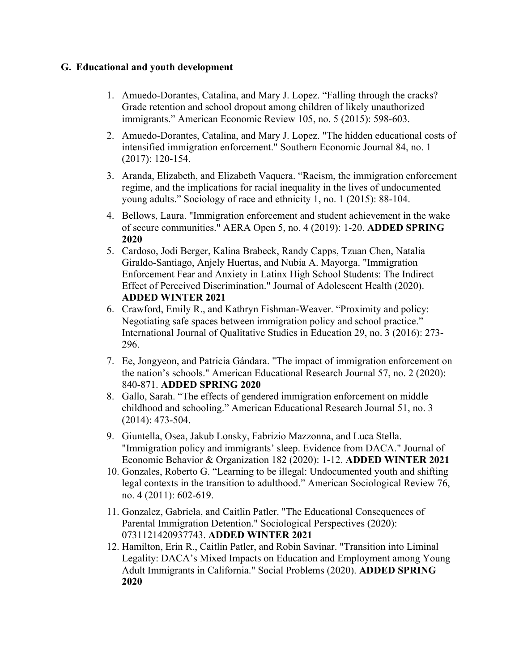## **G. Educational and youth development**

- 1. Amuedo-Dorantes, Catalina, and Mary J. Lopez. "Falling through the cracks? Grade retention and school dropout among children of likely unauthorized immigrants." American Economic Review 105, no. 5 (2015): 598-603.
- 2. Amuedo‐Dorantes, Catalina, and Mary J. Lopez. "The hidden educational costs of intensified immigration enforcement." Southern Economic Journal 84, no. 1 (2017): 120-154.
- 3. Aranda, Elizabeth, and Elizabeth Vaquera. "Racism, the immigration enforcement regime, and the implications for racial inequality in the lives of undocumented young adults." Sociology of race and ethnicity 1, no. 1 (2015): 88-104.
- 4. Bellows, Laura. "Immigration enforcement and student achievement in the wake of secure communities." AERA Open 5, no. 4 (2019): 1-20. **ADDED SPRING 2020**
- 5. Cardoso, Jodi Berger, Kalina Brabeck, Randy Capps, Tzuan Chen, Natalia Giraldo-Santiago, Anjely Huertas, and Nubia A. Mayorga. "Immigration Enforcement Fear and Anxiety in Latinx High School Students: The Indirect Effect of Perceived Discrimination." Journal of Adolescent Health (2020). **ADDED WINTER 2021**
- 6. Crawford, Emily R., and Kathryn Fishman-Weaver. "Proximity and policy: Negotiating safe spaces between immigration policy and school practice." International Journal of Qualitative Studies in Education 29, no. 3 (2016): 273- 296.
- 7. Ee, Jongyeon, and Patricia Gándara. "The impact of immigration enforcement on the nation's schools." American Educational Research Journal 57, no. 2 (2020): 840-871. **ADDED SPRING 2020**
- 8. Gallo, Sarah. "The effects of gendered immigration enforcement on middle childhood and schooling." American Educational Research Journal 51, no. 3 (2014): 473-504.
- 9. Giuntella, Osea, Jakub Lonsky, Fabrizio Mazzonna, and Luca Stella. "Immigration policy and immigrants' sleep. Evidence from DACA." Journal of Economic Behavior & Organization 182 (2020): 1-12. **ADDED WINTER 2021**
- 10. Gonzales, Roberto G. "Learning to be illegal: Undocumented youth and shifting legal contexts in the transition to adulthood." American Sociological Review 76, no. 4 (2011): 602-619.
- 11. Gonzalez, Gabriela, and Caitlin Patler. "The Educational Consequences of Parental Immigration Detention." Sociological Perspectives (2020): 0731121420937743. **ADDED WINTER 2021**
- 12. Hamilton, Erin R., Caitlin Patler, and Robin Savinar. "Transition into Liminal Legality: DACA's Mixed Impacts on Education and Employment among Young Adult Immigrants in California." Social Problems (2020). **ADDED SPRING 2020**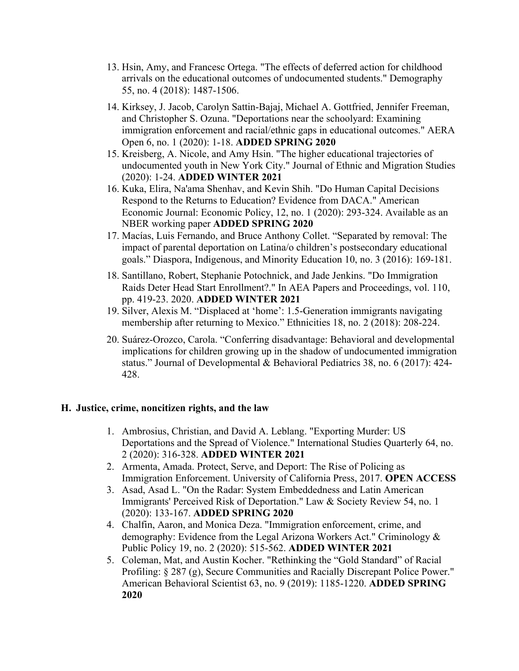- 13. Hsin, Amy, and Francesc Ortega. "The effects of deferred action for childhood arrivals on the educational outcomes of undocumented students." Demography 55, no. 4 (2018): 1487-1506.
- 14. Kirksey, J. Jacob, Carolyn Sattin-Bajaj, Michael A. Gottfried, Jennifer Freeman, and Christopher S. Ozuna. "Deportations near the schoolyard: Examining immigration enforcement and racial/ethnic gaps in educational outcomes." AERA Open 6, no. 1 (2020): 1-18. **ADDED SPRING 2020**
- 15. Kreisberg, A. Nicole, and Amy Hsin. "The higher educational trajectories of undocumented youth in New York City." Journal of Ethnic and Migration Studies (2020): 1-24. **ADDED WINTER 2021**
- 16. Kuka, Elira, Na'ama Shenhav, and Kevin Shih. "Do Human Capital Decisions Respond to the Returns to Education? Evidence from DACA." American Economic Journal: Economic Policy, 12, no. 1 (2020): 293-324. Available as an NBER working paper **ADDED SPRING 2020**
- 17. Macías, Luis Fernando, and Bruce Anthony Collet. "Separated by removal: The impact of parental deportation on Latina/o children's postsecondary educational goals." Diaspora, Indigenous, and Minority Education 10, no. 3 (2016): 169-181.
- 18. Santillano, Robert, Stephanie Potochnick, and Jade Jenkins. "Do Immigration Raids Deter Head Start Enrollment?." In AEA Papers and Proceedings, vol. 110, pp. 419-23. 2020. **ADDED WINTER 2021**
- 19. Silver, Alexis M. "Displaced at 'home': 1.5-Generation immigrants navigating membership after returning to Mexico." Ethnicities 18, no. 2 (2018): 208-224.
- 20. Suárez-Orozco, Carola. "Conferring disadvantage: Behavioral and developmental implications for children growing up in the shadow of undocumented immigration status." Journal of Developmental & Behavioral Pediatrics 38, no. 6 (2017): 424- 428.

#### **H. Justice, crime, noncitizen rights, and the law**

- 1. Ambrosius, Christian, and David A. Leblang. "Exporting Murder: US Deportations and the Spread of Violence." International Studies Quarterly 64, no. 2 (2020): 316-328. **ADDED WINTER 2021**
- 2. Armenta, Amada. Protect, Serve, and Deport: The Rise of Policing as Immigration Enforcement. University of California Press, 2017. **OPEN ACCESS**
- 3. Asad, Asad L. "On the Radar: System Embeddedness and Latin American Immigrants' Perceived Risk of Deportation." Law & Society Review 54, no. 1 (2020): 133-167. **ADDED SPRING 2020**
- 4. Chalfin, Aaron, and Monica Deza. "Immigration enforcement, crime, and demography: Evidence from the Legal Arizona Workers Act." Criminology & Public Policy 19, no. 2 (2020): 515-562. **ADDED WINTER 2021**
- 5. Coleman, Mat, and Austin Kocher. "Rethinking the "Gold Standard" of Racial Profiling: § 287 (g), Secure Communities and Racially Discrepant Police Power." American Behavioral Scientist 63, no. 9 (2019): 1185-1220. **ADDED SPRING 2020**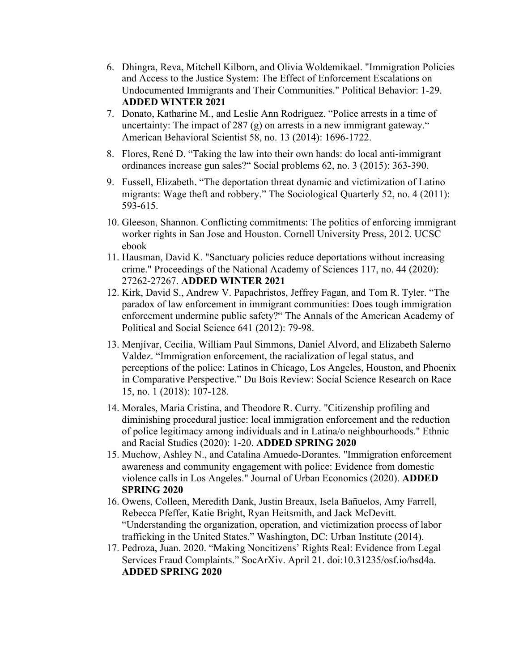- 6. Dhingra, Reva, Mitchell Kilborn, and Olivia Woldemikael. "Immigration Policies and Access to the Justice System: The Effect of Enforcement Escalations on Undocumented Immigrants and Their Communities." Political Behavior: 1-29. **ADDED WINTER 2021**
- 7. Donato, Katharine M., and Leslie Ann Rodriguez. "Police arrests in a time of uncertainty: The impact of 287  $(g)$  on arrests in a new immigrant gateway." American Behavioral Scientist 58, no. 13 (2014): 1696-1722.
- 8. Flores, René D. "Taking the law into their own hands: do local anti-immigrant ordinances increase gun sales?" Social problems 62, no. 3 (2015): 363-390.
- 9. Fussell, Elizabeth. "The deportation threat dynamic and victimization of Latino migrants: Wage theft and robbery." The Sociological Quarterly 52, no. 4 (2011): 593-615.
- 10. Gleeson, Shannon. Conflicting commitments: The politics of enforcing immigrant worker rights in San Jose and Houston. Cornell University Press, 2012. UCSC ebook
- 11. Hausman, David K. "Sanctuary policies reduce deportations without increasing crime." Proceedings of the National Academy of Sciences 117, no. 44 (2020): 27262-27267. **ADDED WINTER 2021**
- 12. Kirk, David S., Andrew V. Papachristos, Jeffrey Fagan, and Tom R. Tyler. "The paradox of law enforcement in immigrant communities: Does tough immigration enforcement undermine public safety?" The Annals of the American Academy of Political and Social Science 641 (2012): 79-98.
- 13. Menjívar, Cecilia, William Paul Simmons, Daniel Alvord, and Elizabeth Salerno Valdez. "Immigration enforcement, the racialization of legal status, and perceptions of the police: Latinos in Chicago, Los Angeles, Houston, and Phoenix in Comparative Perspective." Du Bois Review: Social Science Research on Race 15, no. 1 (2018): 107-128.
- 14. Morales, Maria Cristina, and Theodore R. Curry. "Citizenship profiling and diminishing procedural justice: local immigration enforcement and the reduction of police legitimacy among individuals and in Latina/o neighbourhoods." Ethnic and Racial Studies (2020): 1-20. **ADDED SPRING 2020**
- 15. Muchow, Ashley N., and Catalina Amuedo-Dorantes. "Immigration enforcement awareness and community engagement with police: Evidence from domestic violence calls in Los Angeles." Journal of Urban Economics (2020). **ADDED SPRING 2020**
- 16. Owens, Colleen, Meredith Dank, Justin Breaux, Isela Bañuelos, Amy Farrell, Rebecca Pfeffer, Katie Bright, Ryan Heitsmith, and Jack McDevitt. "Understanding the organization, operation, and victimization process of labor trafficking in the United States." Washington, DC: Urban Institute (2014).
- 17. Pedroza, Juan. 2020. "Making Noncitizens' Rights Real: Evidence from Legal Services Fraud Complaints." SocArXiv. April 21. doi:10.31235/osf.io/hsd4a. **ADDED SPRING 2020**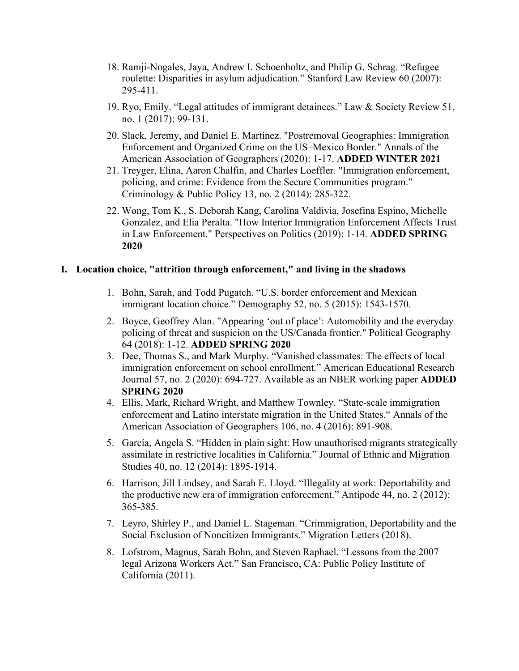- 18. Ramji-Nogales, Jaya, Andrew I. Schoenholtz, and Philip G. Schrag. "Refugee roulette: Disparities in asylum adjudication." Stanford Law Review 60 (2007): 295-411.
- 19. Ryo, Emily. "Legal attitudes of immigrant detainees." Law & Society Review 51, no. 1 (2017): 99-131.
- 20. Slack, Jeremy, and Daniel E. Martínez. "Postremoval Geographies: Immigration Enforcement and Organized Crime on the US–Mexico Border." Annals of the American Association of Geographers (2020): 1-17. **ADDED WINTER 2021**
- 21. Treyger, Elina, Aaron Chalfin, and Charles Loeffler. "Immigration enforcement, policing, and crime: Evidence from the Secure Communities program." Criminology & Public Policy 13, no. 2 (2014): 285-322.
- 22. Wong, Tom K., S. Deborah Kang, Carolina Valdivia, Josefina Espino, Michelle Gonzalez, and Elia Peralta. "How Interior Immigration Enforcement Affects Trust in Law Enforcement." Perspectives on Politics (2019): 1-14. **ADDED SPRING 2020**

#### **I. Location choice, "attrition through enforcement," and living in the shadows**

- 1. Bohn, Sarah, and Todd Pugatch. "U.S. border enforcement and Mexican immigrant location choice." Demography 52, no. 5 (2015): 1543-1570.
- 2. Boyce, Geoffrey Alan. "Appearing 'out of place': Automobility and the everyday policing of threat and suspicion on the US/Canada frontier." Political Geography 64 (2018): 1-12. **ADDED SPRING 2020**
- 3. Dee, Thomas S., and Mark Murphy. "Vanished classmates: The effects of local immigration enforcement on school enrollment." American Educational Research Journal 57, no. 2 (2020): 694-727. Available as an NBER working paper **ADDED SPRING 2020**
- 4. Ellis, Mark, Richard Wright, and Matthew Townley. "State-scale immigration enforcement and Latino interstate migration in the United States." Annals of the American Association of Geographers 106, no. 4 (2016): 891-908.
- 5. García, Angela S. "Hidden in plain sight: How unauthorised migrants strategically assimilate in restrictive localities in California." Journal of Ethnic and Migration Studies 40, no. 12 (2014): 1895-1914.
- 6. Harrison, Jill Lindsey, and Sarah E. Lloyd. "Illegality at work: Deportability and the productive new era of immigration enforcement." Antipode 44, no. 2 (2012): 365-385.
- 7. Leyro, Shirley P., and Daniel L. Stageman. "Crimmigration, Deportability and the Social Exclusion of Noncitizen Immigrants." Migration Letters (2018).
- 8. Lofstrom, Magnus, Sarah Bohn, and Steven Raphael. "Lessons from the 2007 legal Arizona Workers Act." San Francisco, CA: Public Policy Institute of California (2011).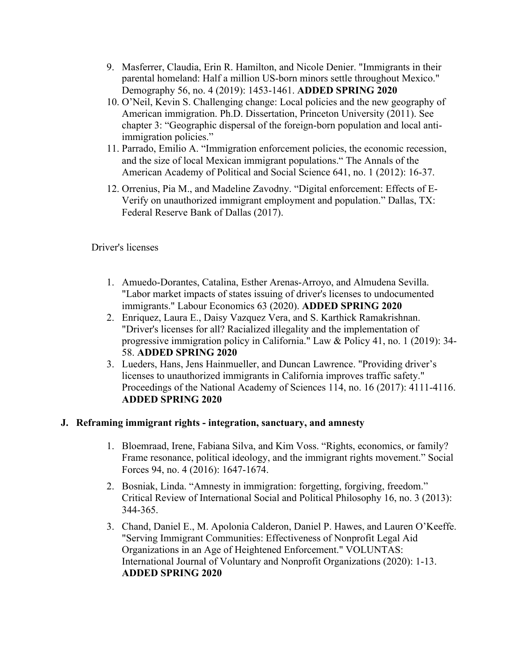- 9. Masferrer, Claudia, Erin R. Hamilton, and Nicole Denier. "Immigrants in their parental homeland: Half a million US-born minors settle throughout Mexico." Demography 56, no. 4 (2019): 1453-1461. **ADDED SPRING 2020**
- 10. O'Neil, Kevin S. Challenging change: Local policies and the new geography of American immigration. Ph.D. Dissertation, Princeton University (2011). See chapter 3: "Geographic dispersal of the foreign-born population and local antiimmigration policies."
- 11. Parrado, Emilio A. "Immigration enforcement policies, the economic recession, and the size of local Mexican immigrant populations." The Annals of the American Academy of Political and Social Science 641, no. 1 (2012): 16-37.
- 12. Orrenius, Pia M., and Madeline Zavodny. "Digital enforcement: Effects of E-Verify on unauthorized immigrant employment and population." Dallas, TX: Federal Reserve Bank of Dallas (2017).

Driver's licenses

- 1. Amuedo-Dorantes, Catalina, Esther Arenas-Arroyo, and Almudena Sevilla. "Labor market impacts of states issuing of driver's licenses to undocumented immigrants." Labour Economics 63 (2020). **ADDED SPRING 2020**
- 2. Enriquez, Laura E., Daisy Vazquez Vera, and S. Karthick Ramakrishnan. "Driver's licenses for all? Racialized illegality and the implementation of progressive immigration policy in California." Law & Policy 41, no. 1 (2019): 34- 58. **ADDED SPRING 2020**
- 3. Lueders, Hans, Jens Hainmueller, and Duncan Lawrence. "Providing driver's licenses to unauthorized immigrants in California improves traffic safety." Proceedings of the National Academy of Sciences 114, no. 16 (2017): 4111-4116. **ADDED SPRING 2020**

# **J. Reframing immigrant rights - integration, sanctuary, and amnesty**

- 1. Bloemraad, Irene, Fabiana Silva, and Kim Voss. "Rights, economics, or family? Frame resonance, political ideology, and the immigrant rights movement." Social Forces 94, no. 4 (2016): 1647-1674.
- 2. Bosniak, Linda. "Amnesty in immigration: forgetting, forgiving, freedom." Critical Review of International Social and Political Philosophy 16, no. 3 (2013): 344-365.
- 3. Chand, Daniel E., M. Apolonia Calderon, Daniel P. Hawes, and Lauren O'Keeffe. "Serving Immigrant Communities: Effectiveness of Nonprofit Legal Aid Organizations in an Age of Heightened Enforcement." VOLUNTAS: International Journal of Voluntary and Nonprofit Organizations (2020): 1-13. **ADDED SPRING 2020**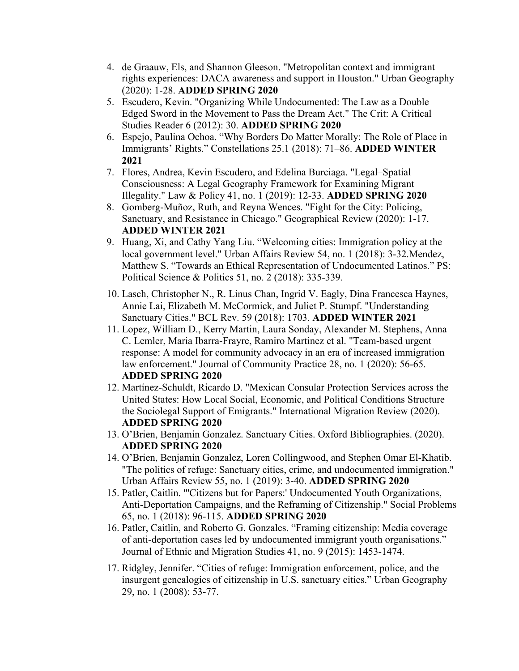- 4. de Graauw, Els, and Shannon Gleeson. "Metropolitan context and immigrant rights experiences: DACA awareness and support in Houston." Urban Geography (2020): 1-28. **ADDED SPRING 2020**
- 5. Escudero, Kevin. "Organizing While Undocumented: The Law as a Double Edged Sword in the Movement to Pass the Dream Act." The Crit: A Critical Studies Reader 6 (2012): 30. **ADDED SPRING 2020**
- 6. Espejo, Paulina Ochoa. "Why Borders Do Matter Morally: The Role of Place in Immigrants' Rights." Constellations 25.1 (2018): 71–86. **ADDED WINTER 2021**
- 7. Flores, Andrea, Kevin Escudero, and Edelina Burciaga. "Legal–Spatial Consciousness: A Legal Geography Framework for Examining Migrant Illegality." Law & Policy 41, no. 1 (2019): 12-33. **ADDED SPRING 2020**
- 8. Gomberg-Muñoz, Ruth, and Reyna Wences. "Fight for the City: Policing, Sanctuary, and Resistance in Chicago." Geographical Review (2020): 1-17. **ADDED WINTER 2021**
- 9. Huang, Xi, and Cathy Yang Liu. "Welcoming cities: Immigration policy at the local government level." Urban Affairs Review 54, no. 1 (2018): 3-32.Mendez, Matthew S. "Towards an Ethical Representation of Undocumented Latinos." PS: Political Science & Politics 51, no. 2 (2018): 335-339.
- 10. Lasch, Christopher N., R. Linus Chan, Ingrid V. Eagly, Dina Francesca Haynes, Annie Lai, Elizabeth M. McCormick, and Juliet P. Stumpf. "Understanding Sanctuary Cities." BCL Rev. 59 (2018): 1703. **ADDED WINTER 2021**
- 11. Lopez, William D., Kerry Martin, Laura Sonday, Alexander M. Stephens, Anna C. Lemler, Maria Ibarra-Frayre, Ramiro Martinez et al. "Team-based urgent response: A model for community advocacy in an era of increased immigration law enforcement." Journal of Community Practice 28, no. 1 (2020): 56-65. **ADDED SPRING 2020**
- 12. Martínez-Schuldt, Ricardo D. "Mexican Consular Protection Services across the United States: How Local Social, Economic, and Political Conditions Structure the Sociolegal Support of Emigrants." International Migration Review (2020). **ADDED SPRING 2020**
- 13. O'Brien, Benjamin Gonzalez. Sanctuary Cities. Oxford Bibliographies. (2020). **ADDED SPRING 2020**
- 14. O'Brien, Benjamin Gonzalez, Loren Collingwood, and Stephen Omar El-Khatib. "The politics of refuge: Sanctuary cities, crime, and undocumented immigration." Urban Affairs Review 55, no. 1 (2019): 3-40. **ADDED SPRING 2020**
- 15. Patler, Caitlin. "'Citizens but for Papers:' Undocumented Youth Organizations, Anti-Deportation Campaigns, and the Reframing of Citizenship." Social Problems 65, no. 1 (2018): 96-115. **ADDED SPRING 2020**
- 16. Patler, Caitlin, and Roberto G. Gonzales. "Framing citizenship: Media coverage of anti-deportation cases led by undocumented immigrant youth organisations." Journal of Ethnic and Migration Studies 41, no. 9 (2015): 1453-1474.
- 17. Ridgley, Jennifer. "Cities of refuge: Immigration enforcement, police, and the insurgent genealogies of citizenship in U.S. sanctuary cities." Urban Geography 29, no. 1 (2008): 53-77.